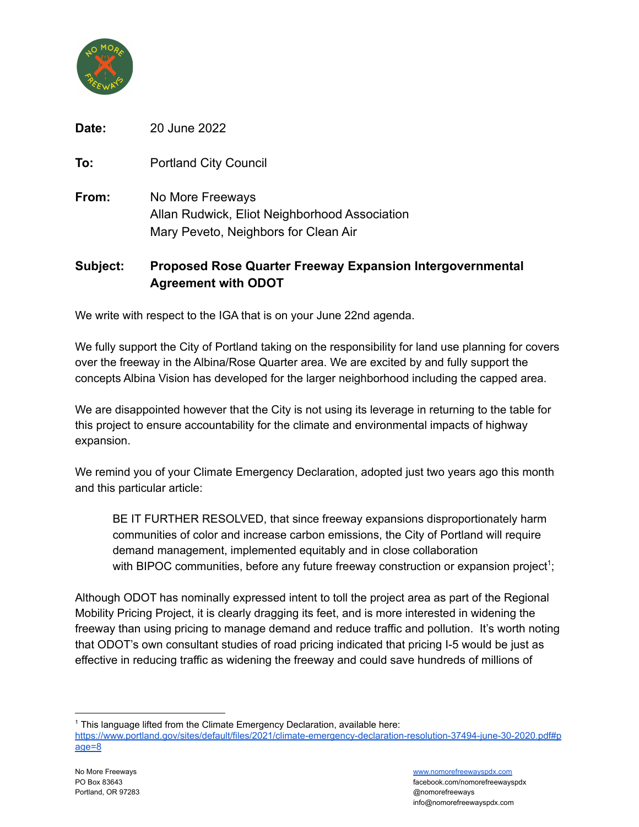

**Date:** 20 June 2022

**To:** Portland City Council

**From:** No More Freeways Allan Rudwick, Eliot Neighborhood Association Mary Peveto, Neighbors for Clean Air

## **Subject: Proposed Rose Quarter Freeway Expansion Intergovernmental Agreement with ODOT**

We write with respect to the IGA that is on your June 22nd agenda.

We fully support the City of Portland taking on the responsibility for land use planning for covers over the freeway in the Albina/Rose Quarter area. We are excited by and fully support the concepts Albina Vision has developed for the larger neighborhood including the capped area.

We are disappointed however that the City is not using its leverage in returning to the table for this project to ensure accountability for the climate and environmental impacts of highway expansion.

We remind you of your Climate Emergency Declaration, adopted just two years ago this month and this particular article:

BE IT FURTHER RESOLVED, that since freeway expansions disproportionately harm communities of color and increase carbon emissions, the City of Portland will require demand management, implemented equitably and in close collaboration with BIPOC communities, before any future freeway construction or expansion project<sup>1</sup>;

Although ODOT has nominally expressed intent to toll the project area as part of the Regional Mobility Pricing Project, it is clearly dragging its feet, and is more interested in widening the freeway than using pricing to manage demand and reduce traffic and pollution. It's worth noting that ODOT's own consultant studies of road pricing indicated that pricing I-5 would be just as effective in reducing traffic as widening the freeway and could save hundreds of millions of

<sup>&</sup>lt;sup>1</sup> This language lifted from the Climate Emergency Declaration, available here:

[https://www.portland.gov/sites/default/files/2021/climate-emergency-declaration-resolution-37494-june-30-2020.pdf#p](https://www.portland.gov/sites/default/files/2021/climate-emergency-declaration-resolution-37494-june-30-2020.pdf#page=8) [age=8](https://www.portland.gov/sites/default/files/2021/climate-emergency-declaration-resolution-37494-june-30-2020.pdf#page=8)